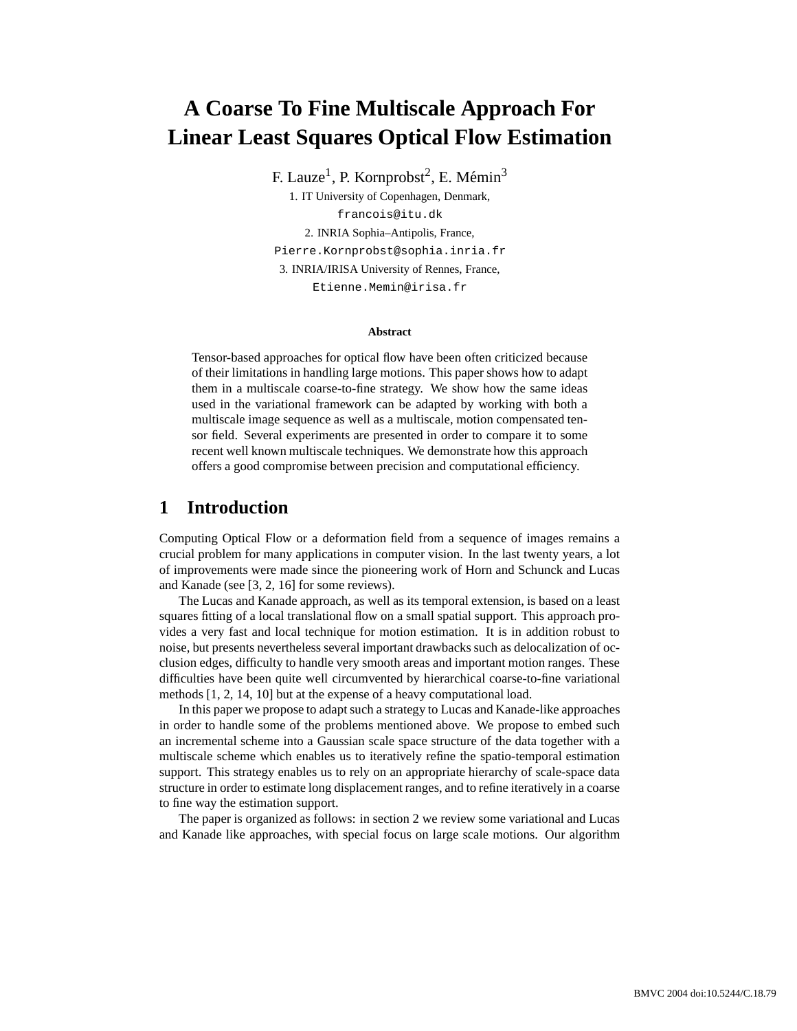# **A Coarse To Fine Multiscale Approach For Linear Least Squares Optical Flow Estimation**

F. Lauze<sup>1</sup>, P. Kornprobst<sup>2</sup>, E. Mémin<sup>3</sup>

1. IT University of Copenhagen, Denmark, francois@itu.dk 2. INRIA Sophia–Antipolis, France, Pierre.Kornprobst@sophia.inria.fr 3. INRIA/IRISA University of Rennes, France, Etienne.Memin@irisa.fr

#### **Abstract**

Tensor-based approaches for optical flow have been often criticized because of their limitations in handling large motions. This paper shows how to adapt them in a multiscale coarse-to-fine strategy. We show how the same ideas used in the variational framework can be adapted by working with both a multiscale image sequence as well as a multiscale, motion compensated tensor field. Several experiments are presented in order to compare it to some recent well known multiscale techniques. We demonstrate how this approach offers a good compromise between precision and computational efficiency.

### **1 Introduction**

Computing Optical Flow or a deformation field from a sequence of images remains a crucial problem for many applications in computer vision. In the last twenty years, a lot of improvements were made since the pioneering work of Horn and Schunck and Lucas and Kanade (see [3, 2, 16] for some reviews).

The Lucas and Kanade approach, as well as its temporal extension, is based on a least squares fitting of a local translational flow on a small spatial support. This approach provides a very fast and local technique for motion estimation. It is in addition robust to noise, but presents nevertheless several important drawbacks such as delocalization of occlusion edges, difficulty to handle very smooth areas and important motion ranges. These difficulties have been quite well circumvented by hierarchical coarse-to-fine variational methods [1, 2, 14, 10] but at the expense of a heavy computational load.

In this paper we propose to adapt such a strategy to Lucas and Kanade-like approaches in order to handle some of the problems mentioned above. We propose to embed such an incremental scheme into a Gaussian scale space structure of the data together with a multiscale scheme which enables us to iteratively refine the spatio-temporal estimation support. This strategy enables us to rely on an appropriate hierarchy of scale-space data structure in order to estimate long displacement ranges, and to refine iteratively in a coarse to fine way the estimation support.

The paper is organized as follows: in section 2 we review some variational and Lucas and Kanade like approaches, with special focus on large scale motions. Our algorithm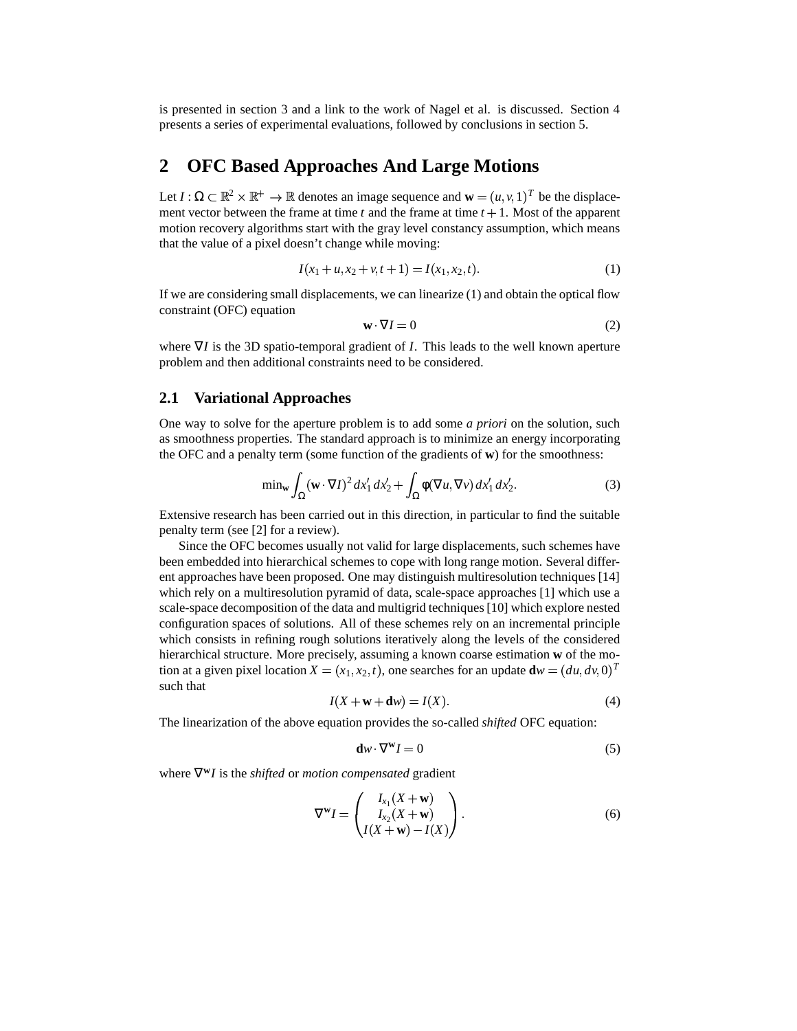is presented in section 3 and a link to the work of Nagel et al. is discussed. Section 4 presents a series of experimental evaluations, followed by conclusions in section 5.

## **2 OFC Based Approaches And Large Motions**

Let  $I : \Omega \subset \mathbb{R}^2 \times \mathbb{R}^+ \to \mathbb{R}$  denotes an image sequence and  $\mathbf{w} = (u, v, 1)^T$  be the displacement vector between the frame at time  $t$  and the frame at time  $t + 1$ . Most of the apparent motion recovery algorithms start with the gray level constancy assumption, which means that the value of a pixel doesn't change while moving:

$$
I(x_1 + u, x_2 + v, t + 1) = I(x_1, x_2, t).
$$
\n(1)

If we are considering small displacements, we can linearize (1) and obtain the optical flow constraint (OFC) equation

$$
\mathbf{w} \cdot \nabla I = 0 \tag{2}
$$

where ∇*I* is the 3D spatio-temporal gradient of *I*. This leads to the well known aperture problem and then additional constraints need to be considered.

#### **2.1 Variational Approaches**

One way to solve for the aperture problem is to add some *a priori* on the solution, such as smoothness properties. The standard approach is to minimize an energy incorporating the OFC and a penalty term (some function of the gradients of **w**) for the smoothness:

$$
\min_{\mathbf{w}} \int_{\Omega} (\mathbf{w} \cdot \nabla I)^2 dx_1' dx_2' + \int_{\Omega} \phi(\nabla u, \nabla v) dx_1' dx_2'.
$$
 (3)

Extensive research has been carried out in this direction, in particular to find the suitable penalty term (see [2] for a review).

Since the OFC becomes usually not valid for large displacements, such schemes have been embedded into hierarchical schemes to cope with long range motion. Several different approaches have been proposed. One may distinguish multiresolution techniques [14] which rely on a multiresolution pyramid of data, scale-space approaches [1] which use a scale-space decomposition of the data and multigrid techniques[10] which explore nested configuration spaces of solutions. All of these schemes rely on an incremental principle which consists in refining rough solutions iteratively along the levels of the considered hierarchical structure. More precisely, assuming a known coarse estimation **w** of the motion at a given pixel location  $X = (x_1, x_2, t)$ , one searches for an update  $\mathbf{d}w = (du, dv, 0)^T$ such that

$$
I(X + \mathbf{w} + \mathbf{d}w) = I(X).
$$
 (4)

The linearization of the above equation provides the so-called *shifted* OFC equation:

$$
\mathbf{d}w \cdot \nabla^{\mathbf{w}} I = 0 \tag{5}
$$

where ∇ **<sup>w</sup>***I* is the *shifted* or *motion compensated* gradient

$$
\nabla^{\mathbf{w}}I = \begin{pmatrix} I_{x_1}(X + \mathbf{w}) \\ I_{x_2}(X + \mathbf{w}) \\ I(X + \mathbf{w}) - I(X) \end{pmatrix}.
$$
 (6)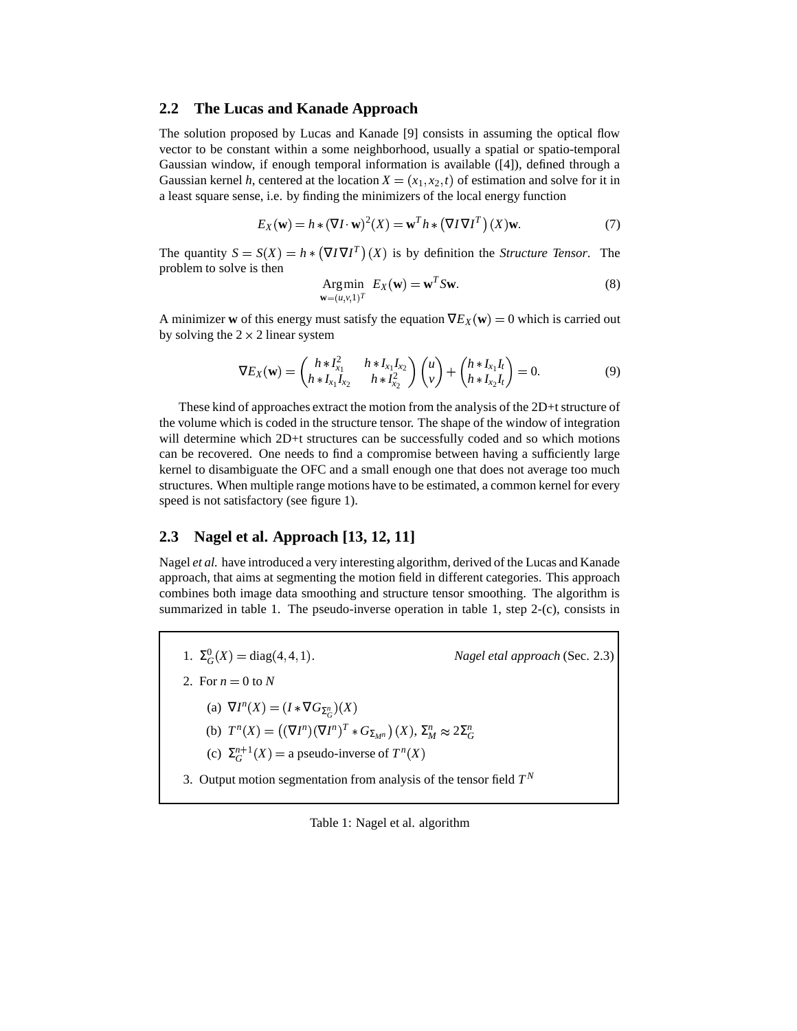#### **2.2 The Lucas and Kanade Approach**

The solution proposed by Lucas and Kanade [9] consists in assuming the optical flow vector to be constant within a some neighborhood, usually a spatial or spatio-temporal Gaussian window, if enough temporal information is available ([4]), defined through a Gaussian kernel *h*, centered at the location  $X = (x_1, x_2, t)$  of estimation and solve for it in a least square sense, i.e. by finding the minimizers of the local energy function

$$
E_X(\mathbf{w}) = h * (\nabla I \cdot \mathbf{w})^2(X) = \mathbf{w}^T h * (\nabla I \nabla I^T) (X) \mathbf{w}.
$$
 (7)

The quantity  $S = S(X) = h * (\nabla I \nabla I^T)(X)$  is by definition the *Structure Tensor*. The problem to solve is then

Arg min 
$$
E_X(\mathbf{w}) = \mathbf{w}^T S \mathbf{w}
$$
.  
 $\mathbf{w} = (u, v, 1)^T$  (8)

 $N$ *agel etal approach* (Sec. 2.3)

A minimizer **w** of this energy must satisfy the equation  $\nabla E_X(\mathbf{w}) = 0$  which is carried out by solving the  $2 \times 2$  linear system

$$
\nabla E_X(\mathbf{w}) = \begin{pmatrix} h * I_{x_1}^2 & h * I_{x_1} I_{x_2} \\ h * I_{x_1} I_{x_2} & h * I_{x_2}^2 \end{pmatrix} \begin{pmatrix} u \\ v \end{pmatrix} + \begin{pmatrix} h * I_{x_1} I_t \\ h * I_{x_2} I_t \end{pmatrix} = 0.
$$
 (9)

These kind of approaches extract the motion from the analysis of the 2D+t structure of the volume which is coded in the structure tensor. The shape of the window of integration will determine which 2D+t structures can be successfully coded and so which motions can be recovered. One needs to find a compromise between having a sufficiently large kernel to disambiguate the OFC and a small enough one that does not average too much structures. When multiple range motions have to be estimated, a common kernel for every speed is not satisfactory (see figure 1).

### **2.3 Nagel et al. Approach [13, 12, 11]**

Nagel *et al.* have introduced a very interesting algorithm, derived of the Lucas and Kanade approach, that aims at segmenting the motion field in different categories. This approach combines both image data smoothing and structure tensor smoothing. The algorithm is summarized in table 1. The pseudo-inverse operation in table 1, step 2-(c), consists in

- 1.  $\Sigma_G^0(X) = \text{diag}(4, 4, 1)$ .
- 2. For  $n = 0$  to  $N$ 
	- (a)  $\nabla I^{n}(X) = (I * \nabla G_{\Sigma_{G}^{n}})(X)$
	- (b)  $T^n(X) = ((\nabla I^n)(\nabla I^n)^T)$  $(\nabla I^{n})(\nabla I^{n})^{T}*G_{\Sigma_{M}n})$   $(X), \Sigma_{M}^{n} \approx 2\Sigma_{G}^{n}$
	- (c)  $\Sigma_G^{n+1}(X) =$  a pseudo-inverse of  $T^n(X)$
	- 3. Output motion segmentation from analysis of the tensor field  $T<sup>N</sup>$

Table 1: Nagel et al. algorithm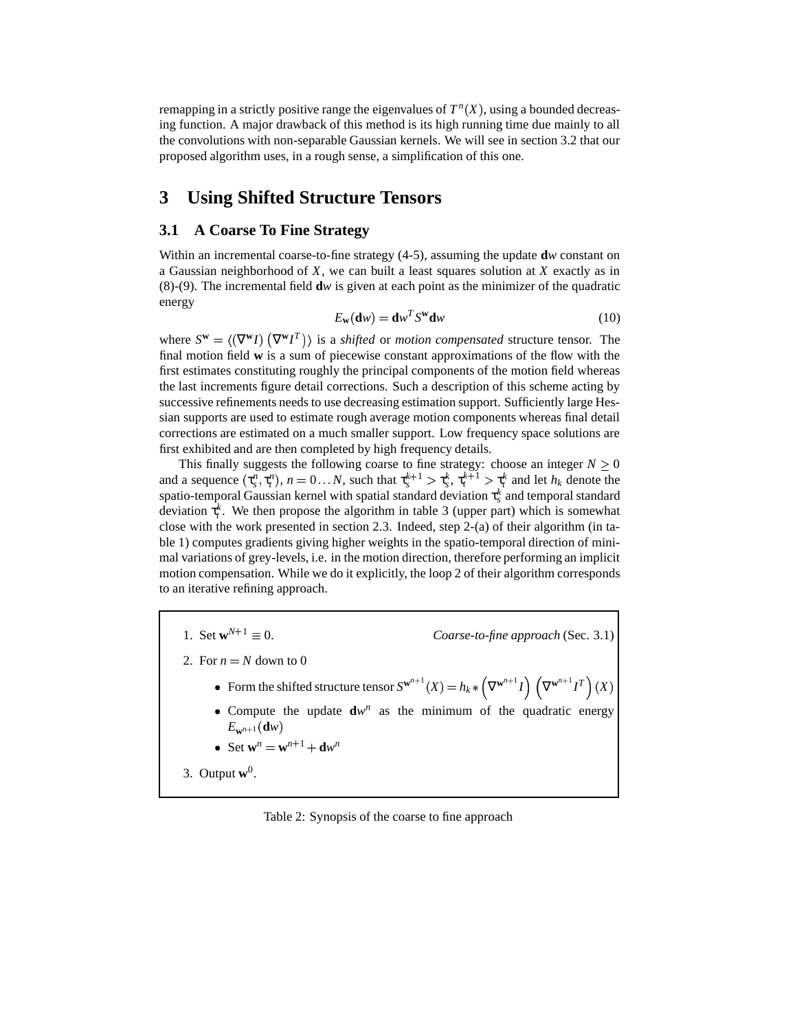remapping in a strictly positive range the eigenvalues of  $T<sup>n</sup>(X)$ , using a bounded decreasing function. A major drawback of this method is its high running time due mainly to all the convolutions with non-separable Gaussian kernels. We will see in section 3.2 that our proposed algorithm uses, in a rough sense, a simplification of this one.

# **3 Using Shifted Structure Tensors**

### **3.1 A Coarse To Fine Strategy**

Within an incremental coarse-to-fine strategy (4-5), assuming the update **d***w* constant on a Gaussian neighborhood of *X*, we can built a least squares solution at *X* exactly as in (8)-(9). The incremental field **d***w* is given at each point as the minimizer of the quadratic energy

$$
E_{\mathbf{w}}(\mathbf{d}w) = \mathbf{d}w^T S^{\mathbf{w}} \mathbf{d}w \tag{10}
$$

where  $S^{\mathbf{w}} = \langle (\nabla^{\mathbf{w}} I) (\nabla^{\mathbf{w}} I^T) \rangle$  is a *shifted* or *motion compensated* structure tensor. The final motion field **w** is a sum of piecewise constant approximations of the flow with the first estimates constituting roughly the principal components of the motion field whereas the last increments figure detail corrections. Such a description of this scheme acting by successive refinements needs to use decreasing estimation support. Sufficiently large Hessian supports are used to estimate rough average motion components whereas final detail corrections are estimated on a much smaller support. Low frequency space solutions are first exhibited and are then completed by high frequency details.

This finally suggests the following coarse to fine strategy: choose an integer  $N \geq 0$ and a sequence  $(\tau_s^n, \tau_t^n)$ ,  $n = 0...N$ , such that  $\tau_s^{k+1} > \tau_s^k$ ,  $\tau_t^{k+1} > \tau_t^k$  and let  $h_k$  denote the spatio-temporal Gaussian kernel with spatial standard deviation  $\tau_s^k$  and temporal standard deviation  $\tau_t^k$ . We then propose the algorithm in table 3 (upper part) which is somewhat close with the work presented in section 2.3. Indeed, step 2-(a) of their algorithm (in table 1) computes gradients giving higher weights in the spatio-temporal direction of minimal variations of grey-levels, i.e. in the motion direction, therefore performing an implicit motion compensation. While we do it explicitly, the loop 2 of their algorithm corresponds to an iterative refining approach.

- 1. Set  $w^{N+1} \equiv 0$ . 0. *Coarse-to-fine approach* (Sec. 3.1)
- 2. For  $n = N$  down to 0
	- Form the shifted structure tensor  $S^{w^{n+1}}(X) = h_k * (\nabla^{w^{n+1}} I)(\nabla^{w^{n+1}} I)(X)$
	- Compute the update  $\mathbf{d}w^n$  as the minimum of the quadratic energy  $E_{\mathbf{w}^{n+1}}(\mathbf{d}w)$
	- Set  $\mathbf{w}^n = \mathbf{w}^{n+1} + \mathbf{d}w^n$

3. Output  $\mathbf{w}^0$ .

Table 2: Synopsis of the coarse to fine approach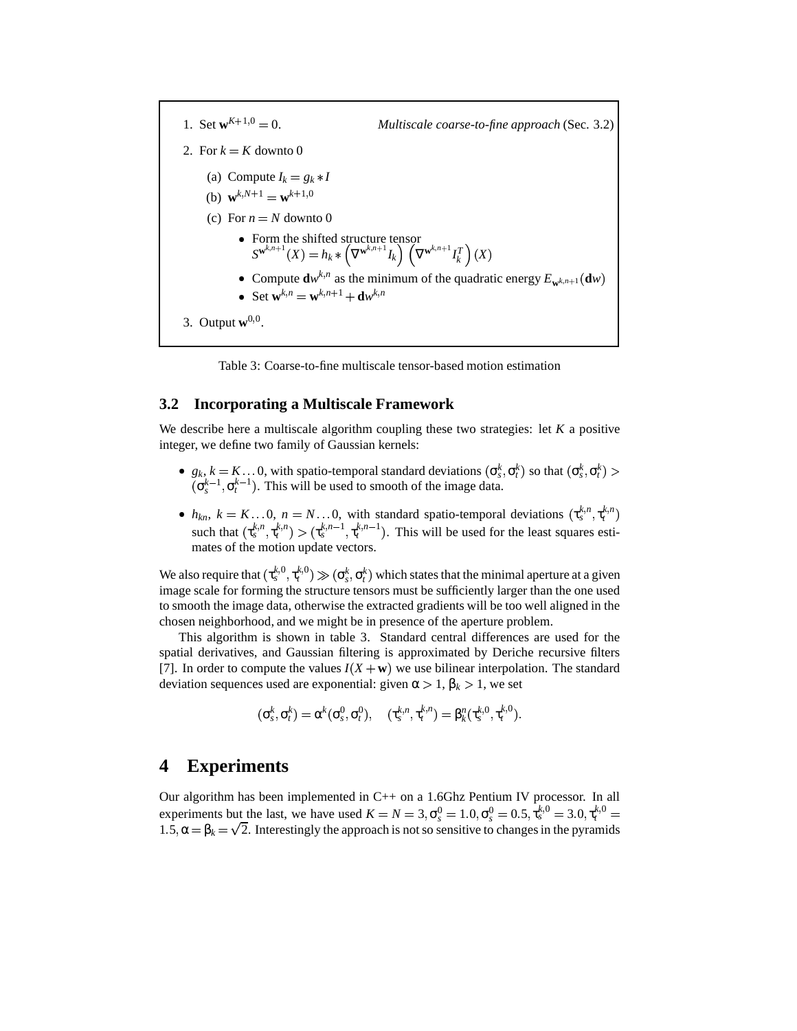1. Set  $w^{K+1,0}$  = 0. *Multiscale coarse-to-fine approach* (Sec. 3.2) 2. For  $k = K$  downto 0 (a) Compute  $I_k = g_k * I$ (b)  $\mathbf{w}^{k,N+1} = \mathbf{w}^{k+1,0}$ (c) For  $n = N$  downto 0 Form the shifted structure tensor  $S^{\mathbf{w}^{k,n+1}}(X) = h_k \ast \left(\nabla^{\mathbf{w}^{k,n+1}} I_k\right) \left(\nabla^{\mathbf{w}^{k,n+1}} I_k^T\right) (X)$ • Compute  $\mathbf{d}w^{k,n}$  as the minimum of the quadratic energy  $E_{\mathbf{w}^{k,n+1}}(\mathbf{d}w)$  $\bullet$  Set  $\mathbf{w}^{k,n} = \mathbf{w}^{k,n+1} + \mathbf{d}w^{k,n}$ 3. Output  $\mathbf{w}^{0,0}$ .

Table 3: Coarse-to-fine multiscale tensor-based motion estimation

#### **3.2 Incorporating a Multiscale Framework**

We describe here a multiscale algorithm coupling these two strategies: let *K* a positive integer, we define two family of Gaussian kernels:

- $g_k$ ,  $k = K \dots 0$ , with spatio-temporal standard deviations  $(\sigma_s^k, \sigma_t^k)$  so that  $(\sigma_s^k, \sigma_t^k)$  >  $(\sigma_s^{k-1}, \sigma_t^{k-1})$ . This will be used to smooth of the image data.
- $h_{kn}$ ,  $k = K...0$ ,  $n = N...0$ , with standard spatio-temporal deviations  $(\tau_s^{k,n}, \tau_t^{k,n})$ such that  $(\tau_s^{k,n}, \tau_t^{k,n}) > (\tau_s^{k,n-1}, \tau_t^{k,n-1})$ . This will be used for the least squares estimates of the motion update vectors.

We also require that  $(\tau_s^{k,0}, \tau_t^{k,0}) \gg (\sigma_s^k, \sigma_t^k)$  which states that the minimal aperture at a given image scale for forming the structure tensors must be sufficiently larger than the one used to smooth the image data, otherwise the extracted gradients will be too well aligned in the chosen neighborhood, and we might be in presence of the aperture problem.

This algorithm is shown in table 3. Standard central differences are used for the spatial derivatives, and Gaussian filtering is approximated by Deriche recursive filters [7]. In order to compute the values  $I(X + w)$  we use bilinear interpolation. The standard deviation sequences used are exponential: given  $\alpha > 1$ ,  $\beta_k > 1$ , we set

$$
(\sigma_s^k, \sigma_t^k) = \alpha^k(\sigma_s^0, \sigma_t^0), \quad (\tau_s^{k,n}, \tau_t^{k,n}) = \beta_k^n(\tau_s^{k,0}, \tau_t^{k,0}).
$$

### **4 Experiments**

Our algorithm has been implemented in C++ on a 1.6Ghz Pentium IV processor. In all experiments but the last, we have used  $K = N = 3, \sigma_s^0 = 1.0, \sigma_s^0 = 0.5, \tau_s^{k,0} = 3.0, \tau_t^{k,0} = 1.0$  $1.5, \alpha = \beta_k = \sqrt{2}$ . Interestingly the approach is not so sensitive to changes in the pyramids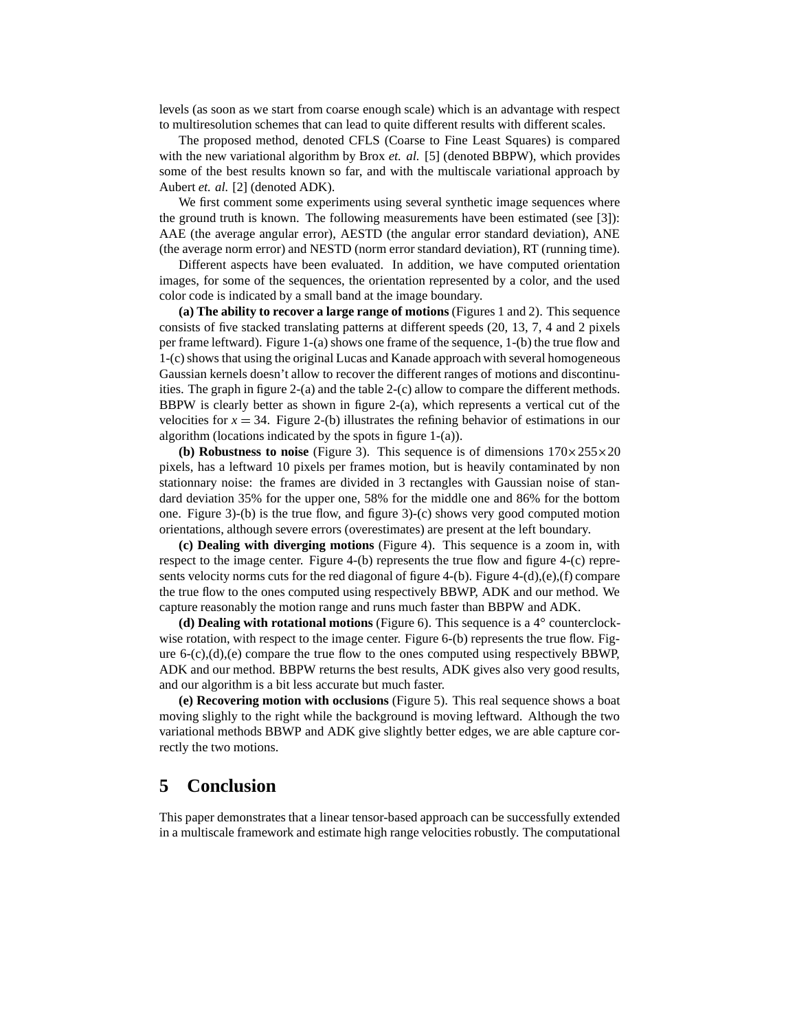levels (as soon as we start from coarse enough scale) which is an advantage with respect to multiresolution schemes that can lead to quite different results with different scales.

The proposed method, denoted CFLS (Coarse to Fine Least Squares) is compared with the new variational algorithm by Brox *et. al.* [5] (denoted BBPW), which provides some of the best results known so far, and with the multiscale variational approach by Aubert *et. al.* [2] (denoted ADK).

We first comment some experiments using several synthetic image sequences where the ground truth is known. The following measurements have been estimated (see [3]): AAE (the average angular error), AESTD (the angular error standard deviation), ANE (the average norm error) and NESTD (norm error standard deviation), RT (running time).

Different aspects have been evaluated. In addition, we have computed orientation images, for some of the sequences, the orientation represented by a color, and the used color code is indicated by a small band at the image boundary.

**(a) The ability to recover a large range of motions** (Figures 1 and 2). This sequence consists of five stacked translating patterns at different speeds (20, 13, 7, 4 and 2 pixels per frame leftward). Figure 1-(a) shows one frame of the sequence, 1-(b) the true flow and 1-(c)shows that using the original Lucas and Kanade approach with several homogeneous Gaussian kernels doesn't allow to recover the different ranges of motions and discontinuities. The graph in figure 2-(a) and the table 2-(c) allow to compare the different methods. BBPW is clearly better as shown in figure 2-(a), which represents a vertical cut of the velocities for  $x = 34$ . Figure 2-(b) illustrates the refining behavior of estimations in our algorithm (locations indicated by the spots in figure 1-(a)).

**(b) <b>Robustness to noise** (Figure 3). This sequence is of dimensions  $170 \times 255 \times 20$ pixels, has a leftward 10 pixels per frames motion, but is heavily contaminated by non stationnary noise: the frames are divided in 3 rectangles with Gaussian noise of standard deviation 35% for the upper one, 58% for the middle one and 86% for the bottom one. Figure 3)-(b) is the true flow, and figure 3)-(c) shows very good computed motion orientations, although severe errors (overestimates) are present at the left boundary.

**(c) Dealing with diverging motions** (Figure 4). This sequence is a zoom in, with respect to the image center. Figure 4-(b) represents the true flow and figure 4-(c) represents velocity norms cuts for the red diagonal of figure 4-(b). Figure 4-(d),(e),(f) compare the true flow to the ones computed using respectively BBWP, ADK and our method. We capture reasonably the motion range and runs much faster than BBPW and ADK.

**(d) Dealing with rotational motions** (Figure 6). This sequence is a 4 counterclockwise rotation, with respect to the image center. Figure 6-(b) represents the true flow. Figure  $6-(c)$ , $(d)$ , $(e)$  compare the true flow to the ones computed using respectively BBWP, ADK and our method. BBPW returns the best results, ADK gives also very good results, and our algorithm is a bit less accurate but much faster.

**(e) Recovering motion with occlusions** (Figure 5). This real sequence shows a boat moving slighly to the right while the background is moving leftward. Although the two variational methods BBWP and ADK give slightly better edges, we are able capture correctly the two motions.

# **5 Conclusion**

This paper demonstrates that a linear tensor-based approach can be successfully extended in a multiscale framework and estimate high range velocities robustly. The computational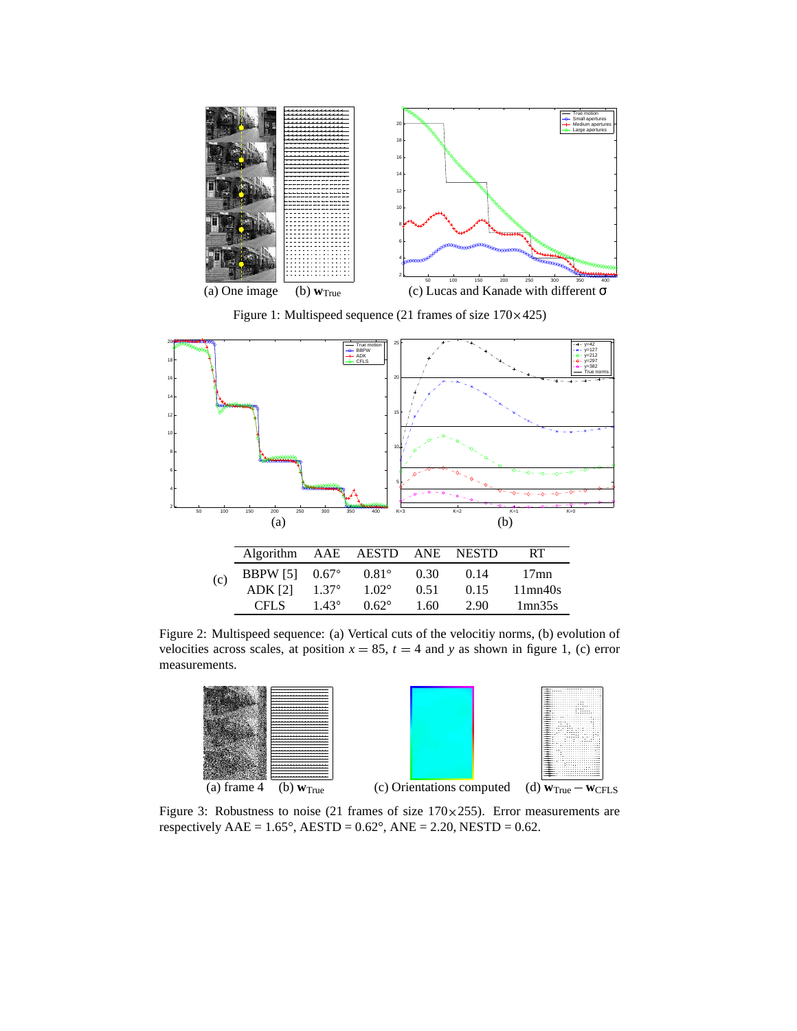

Figure 1: Multispeed sequence (21 frames of size 170×425)



Figure 2: Multispeed sequence: (a) Vertical cuts of the velocitiy norms, (b) evolution of velocities across scales, at position  $x = 85$ ,  $t = 4$  and *y* as shown in figure 1, (c) error measurements.





Figure 3: Robustness to noise (21 frames of size  $170 \times 255$ ). Error measurements are respectively  $AAE = 1.65^\circ$ ,  $AESTD = 0.62^\circ$ ,  $ANE = 2.20$ ,  $NESTD = 0.62$ .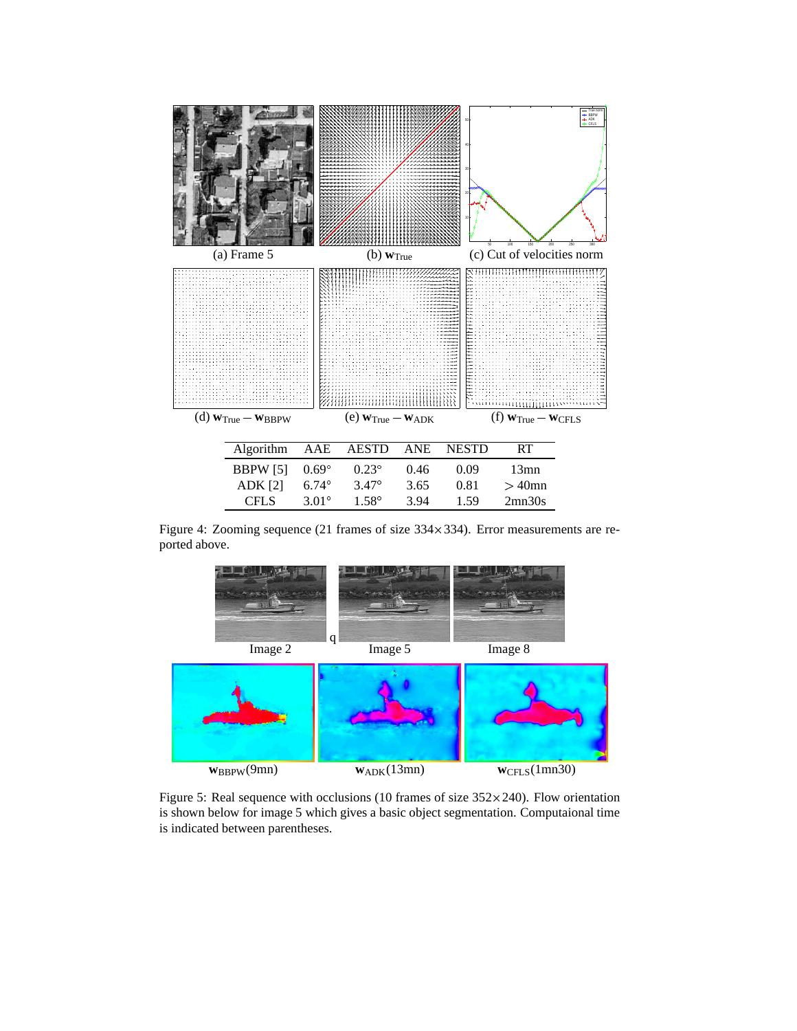

Figure 4: Zooming sequence (21 frames of size  $334 \times 334$ ). Error measurements are reported above.



Figure 5: Real sequence with occlusions (10 frames of size  $352\times240$ ). Flow orientation is shown below for image 5 which gives a basic object segmentation. Computaional time is indicated between parentheses.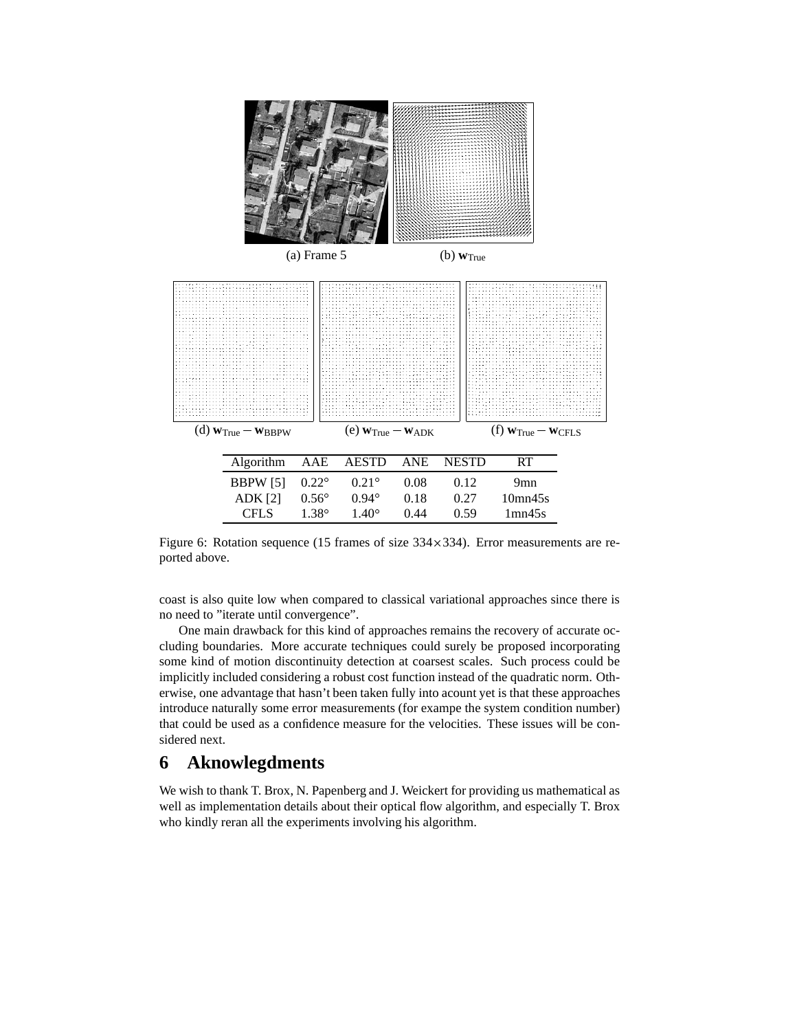

Figure 6: Rotation sequence (15 frames of size  $334 \times 334$ ). Error measurements are reported above.

coast is also quite low when compared to classical variational approaches since there is no need to "iterate until convergence".

One main drawback for this kind of approaches remains the recovery of accurate occluding boundaries. More accurate techniques could surely be proposed incorporating some kind of motion discontinuity detection at coarsest scales. Such process could be implicitly included considering a robust cost function instead of the quadratic norm. Otherwise, one advantage that hasn't been taken fully into acount yet is that these approaches introduce naturally some error measurements (for exampe the system condition number) that could be used as a confidence measure for the velocities. These issues will be considered next.

# **6 Aknowlegdments**

We wish to thank T. Brox, N. Papenberg and J. Weickert for providing us mathematical as well as implementation details about their optical flow algorithm, and especially T. Brox who kindly reran all the experiments involving his algorithm.